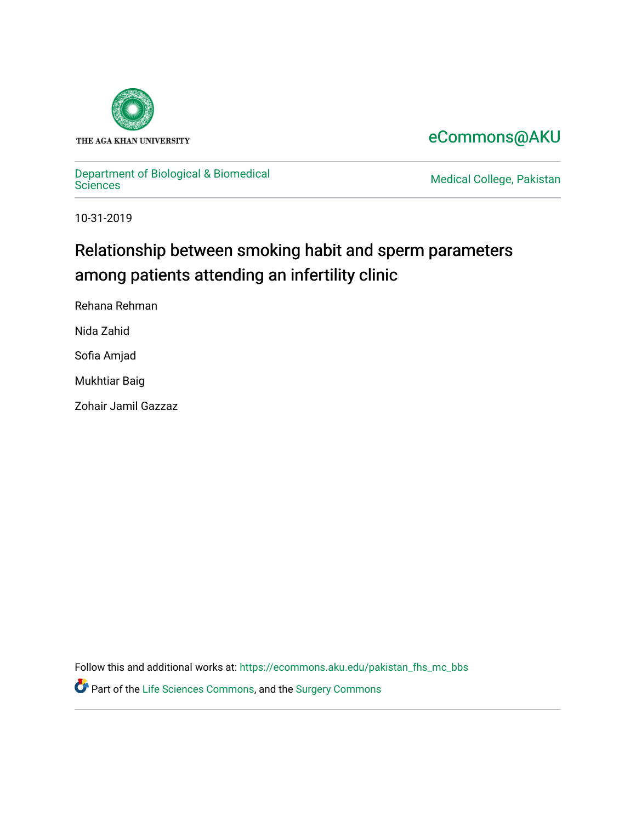

## [eCommons@AKU](https://ecommons.aku.edu/)

# [Department of Biological & Biomedical](https://ecommons.aku.edu/pakistan_fhs_mc_bbs)

**Medical College, Pakistan** 

10-31-2019

## Relationship between smoking habit and sperm parameters among patients attending an infertility clinic

Rehana Rehman

Nida Zahid

Sofia Amjad

Mukhtiar Baig

Zohair Jamil Gazzaz

Follow this and additional works at: [https://ecommons.aku.edu/pakistan\\_fhs\\_mc\\_bbs](https://ecommons.aku.edu/pakistan_fhs_mc_bbs?utm_source=ecommons.aku.edu%2Fpakistan_fhs_mc_bbs%2F793&utm_medium=PDF&utm_campaign=PDFCoverPages)

Part of the [Life Sciences Commons,](http://network.bepress.com/hgg/discipline/1016?utm_source=ecommons.aku.edu%2Fpakistan_fhs_mc_bbs%2F793&utm_medium=PDF&utm_campaign=PDFCoverPages) and the [Surgery Commons](http://network.bepress.com/hgg/discipline/706?utm_source=ecommons.aku.edu%2Fpakistan_fhs_mc_bbs%2F793&utm_medium=PDF&utm_campaign=PDFCoverPages)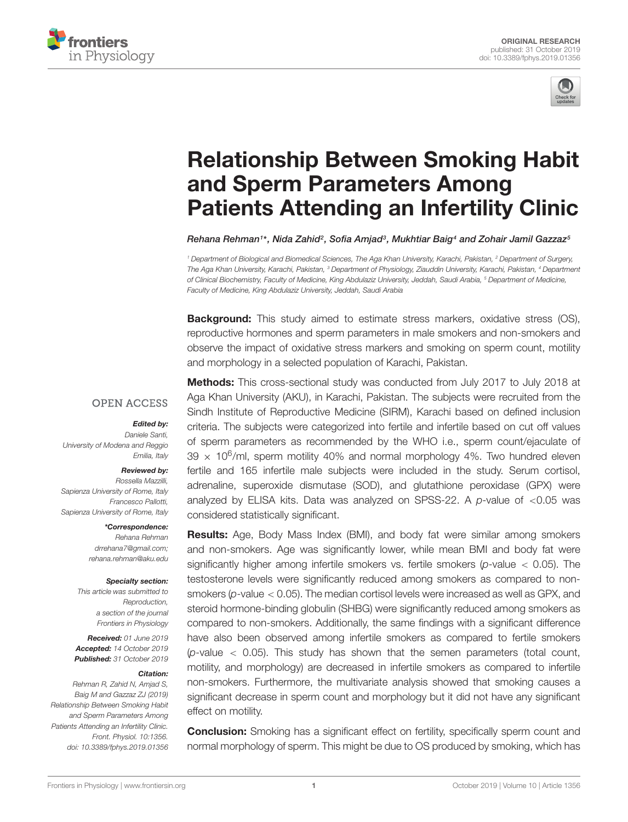



## Relationship Between Smoking Habit and Sperm Parameters Among [Patients Attending an Infertility Clinic](https://www.frontiersin.org/articles/10.3389/fphys.2019.01356/full)

[Rehana Rehman](http://loop.frontiersin.org/people/561666/overview)1\*, [Nida Zahid](http://loop.frontiersin.org/people/832439/overview)<sup>2</sup>, [Sofia Amjad](http://loop.frontiersin.org/people/633036/overview)<sup>3</sup>, [Mukhtiar Baig](http://loop.frontiersin.org/people/623024/overview)4 and [Zohair Jamil Gazzaz](http://loop.frontiersin.org/people/565575/overview)<sup>s</sup>

<sup>1</sup> Department of Biological and Biomedical Sciences, The Aga Khan University, Karachi, Pakistan, <sup>2</sup> Department of Surgery, The Aga Khan University, Karachi, Pakistan, <sup>3</sup> Department of Physiology, Ziauddin University, Karachi, Pakistan, <sup>4</sup> Department of Clinical Biochemistry, Faculty of Medicine, King Abdulaziz University, Jeddah, Saudi Arabia, <sup>5</sup> Department of Medicine, Faculty of Medicine, King Abdulaziz University, Jeddah, Saudi Arabia

**Background:** This study aimed to estimate stress markers, oxidative stress (OS), reproductive hormones and sperm parameters in male smokers and non-smokers and observe the impact of oxidative stress markers and smoking on sperm count, motility and morphology in a selected population of Karachi, Pakistan.

#### **OPEN ACCESS**

#### Edited by:

Daniele Santi, University of Modena and Reggio Emilia, Italy

#### Reviewed by:

Rossella Mazzilli, Sapienza University of Rome, Italv Francesco Pallotti, Sapienza University of Rome, Italy

\*Correspondence:

Rehana Rehman drrehana7@gmail.com; rehana.rehman@aku.edu

#### Specialty section:

This article was submitted to Reproduction, a section of the journal Frontiers in Physiology

Received: 01 June 2019 Accepted: 14 October 2019 Published: 31 October 2019

#### Citation:

Rehman R, Zahid N, Amjad S, Baig M and Gazzaz ZJ (2019) Relationship Between Smoking Habit and Sperm Parameters Among Patients Attending an Infertility Clinic. Front. Physiol. 10:1356. doi: [10.3389/fphys.2019.01356](https://doi.org/10.3389/fphys.2019.01356)

**Methods:** This cross-sectional study was conducted from July 2017 to July 2018 at Aga Khan University (AKU), in Karachi, Pakistan. The subjects were recruited from the Sindh Institute of Reproductive Medicine (SIRM), Karachi based on defined inclusion criteria. The subjects were categorized into fertile and infertile based on cut off values of sperm parameters as recommended by the WHO i.e., sperm count/ejaculate of  $39 \times 10^6$ /ml, sperm motility 40% and normal morphology 4%. Two hundred eleven fertile and 165 infertile male subjects were included in the study. Serum cortisol, adrenaline, superoxide dismutase (SOD), and glutathione peroxidase (GPX) were analyzed by ELISA kits. Data was analyzed on SPSS-22. A  $p$ -value of <0.05 was considered statistically significant.

Results: Age, Body Mass Index (BMI), and body fat were similar among smokers and non-smokers. Age was significantly lower, while mean BMI and body fat were significantly higher among infertile smokers vs. fertile smokers ( $p$ -value < 0.05). The testosterone levels were significantly reduced among smokers as compared to nonsmokers ( $p$ -value  $< 0.05$ ). The median cortisol levels were increased as well as GPX, and steroid hormone-binding globulin (SHBG) were significantly reduced among smokers as compared to non-smokers. Additionally, the same findings with a significant difference have also been observed among infertile smokers as compared to fertile smokers ( $p$ -value  $\lt$  0.05). This study has shown that the semen parameters (total count, motility, and morphology) are decreased in infertile smokers as compared to infertile non-smokers. Furthermore, the multivariate analysis showed that smoking causes a significant decrease in sperm count and morphology but it did not have any significant effect on motility.

**Conclusion:** Smoking has a significant effect on fertility, specifically sperm count and normal morphology of sperm. This might be due to OS produced by smoking, which has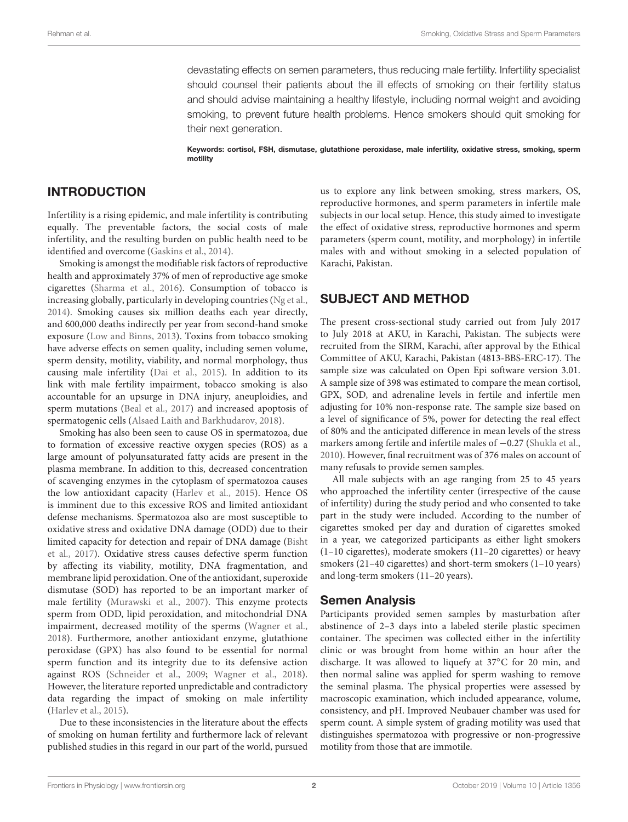devastating effects on semen parameters, thus reducing male fertility. Infertility specialist should counsel their patients about the ill effects of smoking on their fertility status and should advise maintaining a healthy lifestyle, including normal weight and avoiding smoking, to prevent future health problems. Hence smokers should quit smoking for their next generation.

Keywords: cortisol, FSH, dismutase, glutathione peroxidase, male infertility, oxidative stress, smoking, sperm motility

#### INTRODUCTION

Infertility is a rising epidemic, and male infertility is contributing equally. The preventable factors, the social costs of male infertility, and the resulting burden on public health need to be identified and overcome [\(Gaskins et al.,](#page-9-0) [2014\)](#page-9-0).

Smoking is amongst the modifiable risk factors of reproductive health and approximately 37% of men of reproductive age smoke cigarettes [\(Sharma et al.,](#page-10-0) [2016\)](#page-10-0). Consumption of tobacco is increasing globally, particularly in developing countries [\(Ng et al.,](#page-10-1) [2014\)](#page-10-1). Smoking causes six million deaths each year directly, and 600,000 deaths indirectly per year from second-hand smoke exposure [\(Low and Binns,](#page-9-1) [2013\)](#page-9-1). Toxins from tobacco smoking have adverse effects on semen quality, including semen volume, sperm density, motility, viability, and normal morphology, thus causing male infertility [\(Dai et al.,](#page-9-2) [2015\)](#page-9-2). In addition to its link with male fertility impairment, tobacco smoking is also accountable for an upsurge in DNA injury, aneuploidies, and sperm mutations [\(Beal et al.,](#page-9-3) [2017\)](#page-9-3) and increased apoptosis of spermatogenic cells [\(Alsaed Laith and Barkhudarov,](#page-9-4) [2018\)](#page-9-4).

Smoking has also been seen to cause OS in spermatozoa, due to formation of excessive reactive oxygen species (ROS) as a large amount of polyunsaturated fatty acids are present in the plasma membrane. In addition to this, decreased concentration of scavenging enzymes in the cytoplasm of spermatozoa causes the low antioxidant capacity [\(Harlev et al.,](#page-9-5) [2015\)](#page-9-5). Hence OS is imminent due to this excessive ROS and limited antioxidant defense mechanisms. Spermatozoa also are most susceptible to oxidative stress and oxidative DNA damage (ODD) due to their limited capacity for detection and repair of DNA damage [\(Bisht](#page-9-6) [et al.,](#page-9-6) [2017\)](#page-9-6). Oxidative stress causes defective sperm function by affecting its viability, motility, DNA fragmentation, and membrane lipid peroxidation. One of the antioxidant, superoxide dismutase (SOD) has reported to be an important marker of male fertility [\(Murawski et al.,](#page-9-7) [2007\)](#page-9-7). This enzyme protects sperm from ODD, lipid peroxidation, and mitochondrial DNA impairment, decreased motility of the sperms [\(Wagner et al.,](#page-10-2) [2018\)](#page-10-2). Furthermore, another antioxidant enzyme, glutathione peroxidase (GPX) has also found to be essential for normal sperm function and its integrity due to its defensive action against ROS [\(Schneider et al.,](#page-10-3) [2009;](#page-10-3) [Wagner et al.,](#page-10-2) [2018\)](#page-10-2). However, the literature reported unpredictable and contradictory data regarding the impact of smoking on male infertility [\(Harlev et al.,](#page-9-5) [2015\)](#page-9-5).

Due to these inconsistencies in the literature about the effects of smoking on human fertility and furthermore lack of relevant published studies in this regard in our part of the world, pursued

us to explore any link between smoking, stress markers, OS, reproductive hormones, and sperm parameters in infertile male subjects in our local setup. Hence, this study aimed to investigate the effect of oxidative stress, reproductive hormones and sperm parameters (sperm count, motility, and morphology) in infertile males with and without smoking in a selected population of Karachi, Pakistan.

### SUBJECT AND METHOD

The present cross-sectional study carried out from July 2017 to July 2018 at AKU, in Karachi, Pakistan. The subjects were recruited from the SIRM, Karachi, after approval by the Ethical Committee of AKU, Karachi, Pakistan (4813-BBS-ERC-17). The sample size was calculated on Open Epi software version 3.01. A sample size of 398 was estimated to compare the mean cortisol, GPX, SOD, and adrenaline levels in fertile and infertile men adjusting for 10% non-response rate. The sample size based on a level of significance of 5%, power for detecting the real effect of 80% and the anticipated difference in mean levels of the stress markers among fertile and infertile males of −0.27 [\(Shukla et al.,](#page-10-4) [2010\)](#page-10-4). However, final recruitment was of 376 males on account of many refusals to provide semen samples.

All male subjects with an age ranging from 25 to 45 years who approached the infertility center (irrespective of the cause of infertility) during the study period and who consented to take part in the study were included. According to the number of cigarettes smoked per day and duration of cigarettes smoked in a year, we categorized participants as either light smokers (1–10 cigarettes), moderate smokers (11–20 cigarettes) or heavy smokers (21–40 cigarettes) and short-term smokers (1–10 years) and long-term smokers (11–20 years).

#### Semen Analysis

Participants provided semen samples by masturbation after abstinence of 2–3 days into a labeled sterile plastic specimen container. The specimen was collected either in the infertility clinic or was brought from home within an hour after the discharge. It was allowed to liquefy at 37◦C for 20 min, and then normal saline was applied for sperm washing to remove the seminal plasma. The physical properties were assessed by macroscopic examination, which included appearance, volume, consistency, and pH. Improved Neubauer chamber was used for sperm count. A simple system of grading motility was used that distinguishes spermatozoa with progressive or non-progressive motility from those that are immotile.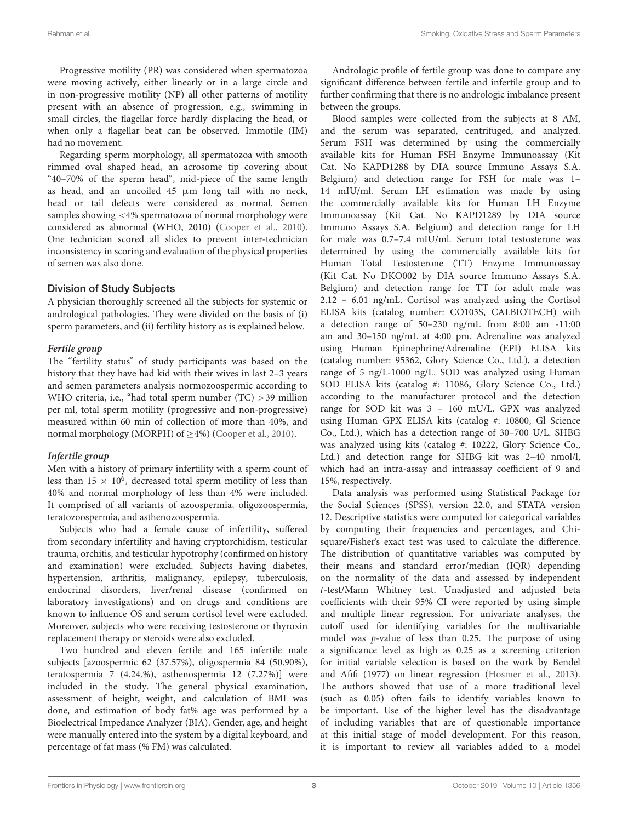Progressive motility (PR) was considered when spermatozoa were moving actively, either linearly or in a large circle and in non-progressive motility (NP) all other patterns of motility present with an absence of progression, e.g., swimming in small circles, the flagellar force hardly displacing the head, or when only a flagellar beat can be observed. Immotile (IM) had no movement.

Regarding sperm morphology, all spermatozoa with smooth rimmed oval shaped head, an acrosome tip covering about "40–70% of the sperm head", mid-piece of the same length as head, and an uncoiled 45 µm long tail with no neck, head or tail defects were considered as normal. Semen samples showing <4% spermatozoa of normal morphology were considered as abnormal (WHO, 2010) [\(Cooper et al.,](#page-9-8) [2010\)](#page-9-8). One technician scored all slides to prevent inter-technician inconsistency in scoring and evaluation of the physical properties of semen was also done.

#### Division of Study Subjects

A physician thoroughly screened all the subjects for systemic or andrological pathologies. They were divided on the basis of (i) sperm parameters, and (ii) fertility history as is explained below.

#### **Fertile group**

The "fertility status" of study participants was based on the history that they have had kid with their wives in last 2–3 years and semen parameters analysis normozoospermic according to WHO criteria, i.e., "had total sperm number (TC) >39 million per ml, total sperm motility (progressive and non-progressive) measured within 60 min of collection of more than 40%, and normal morphology (MORPH) of ≥4%) [\(Cooper et al.,](#page-9-8) [2010\)](#page-9-8).

#### **Infertile group**

Men with a history of primary infertility with a sperm count of less than  $15 \times 10^6$ , decreased total sperm motility of less than 40% and normal morphology of less than 4% were included. It comprised of all variants of azoospermia, oligozoospermia, teratozoospermia, and asthenozoospermia.

Subjects who had a female cause of infertility, suffered from secondary infertility and having cryptorchidism, testicular trauma, orchitis, and testicular hypotrophy (confirmed on history and examination) were excluded. Subjects having diabetes, hypertension, arthritis, malignancy, epilepsy, tuberculosis, endocrinal disorders, liver/renal disease (confirmed on laboratory investigations) and on drugs and conditions are known to influence OS and serum cortisol level were excluded. Moreover, subjects who were receiving testosterone or thyroxin replacement therapy or steroids were also excluded.

Two hundred and eleven fertile and 165 infertile male subjects [azoospermic 62 (37.57%), oligospermia 84 (50.90%), teratospermia 7 (4.24.%), asthenospermia 12 (7.27%)] were included in the study. The general physical examination, assessment of height, weight, and calculation of BMI was done, and estimation of body fat% age was performed by a Bioelectrical Impedance Analyzer (BIA). Gender, age, and height were manually entered into the system by a digital keyboard, and percentage of fat mass (% FM) was calculated.

Andrologic profile of fertile group was done to compare any significant difference between fertile and infertile group and to further confirming that there is no andrologic imbalance present between the groups.

Blood samples were collected from the subjects at 8 AM, and the serum was separated, centrifuged, and analyzed. Serum FSH was determined by using the commercially available kits for Human FSH Enzyme Immunoassay (Kit Cat. No KAPD1288 by DIA source Immuno Assays S.A. Belgium) and detection range for FSH for male was 1– 14 mIU/ml. Serum LH estimation was made by using the commercially available kits for Human LH Enzyme Immunoassay (Kit Cat. No KAPD1289 by DIA source Immuno Assays S.A. Belgium) and detection range for LH for male was 0.7–7.4 mIU/ml. Serum total testosterone was determined by using the commercially available kits for Human Total Testosterone (TT) Enzyme Immunoassay (Kit Cat. No DKO002 by DIA source Immuno Assays S.A. Belgium) and detection range for TT for adult male was 2.12 – 6.01 ng/mL. Cortisol was analyzed using the Cortisol ELISA kits (catalog number: CO103S, CALBIOTECH) with a detection range of 50–230 ng/mL from 8:00 am -11:00 am and 30–150 ng/mL at 4:00 pm. Adrenaline was analyzed using Human Epinephrine/Adrenaline (EPI) ELISA kits (catalog number: 95362, Glory Science Co., Ltd.), a detection range of 5 ng/L-1000 ng/L. SOD was analyzed using Human SOD ELISA kits (catalog #: 11086, Glory Science Co., Ltd.) according to the manufacturer protocol and the detection range for SOD kit was 3 – 160 mU/L. GPX was analyzed using Human GPX ELISA kits (catalog #: 10800, Gl Science Co., Ltd.), which has a detection range of 30–700 U/L. SHBG was analyzed using kits (catalog #: 10222, Glory Science Co., Ltd.) and detection range for SHBG kit was 2–40 nmol/l, which had an intra-assay and intraassay coefficient of 9 and 15%, respectively.

Data analysis was performed using Statistical Package for the Social Sciences (SPSS), version 22.0, and STATA version 12. Descriptive statistics were computed for categorical variables by computing their frequencies and percentages, and Chisquare/Fisher's exact test was used to calculate the difference. The distribution of quantitative variables was computed by their means and standard error/median (IQR) depending on the normality of the data and assessed by independent t-test/Mann Whitney test. Unadjusted and adjusted beta coefficients with their 95% CI were reported by using simple and multiple linear regression. For univariate analyses, the cutoff used for identifying variables for the multivariable model was p-value of less than 0.25. The purpose of using a significance level as high as 0.25 as a screening criterion for initial variable selection is based on the work by Bendel and Afifi (1977) on linear regression [\(Hosmer et al.,](#page-9-9) [2013\)](#page-9-9). The authors showed that use of a more traditional level (such as 0.05) often fails to identify variables known to be important. Use of the higher level has the disadvantage of including variables that are of questionable importance at this initial stage of model development. For this reason, it is important to review all variables added to a model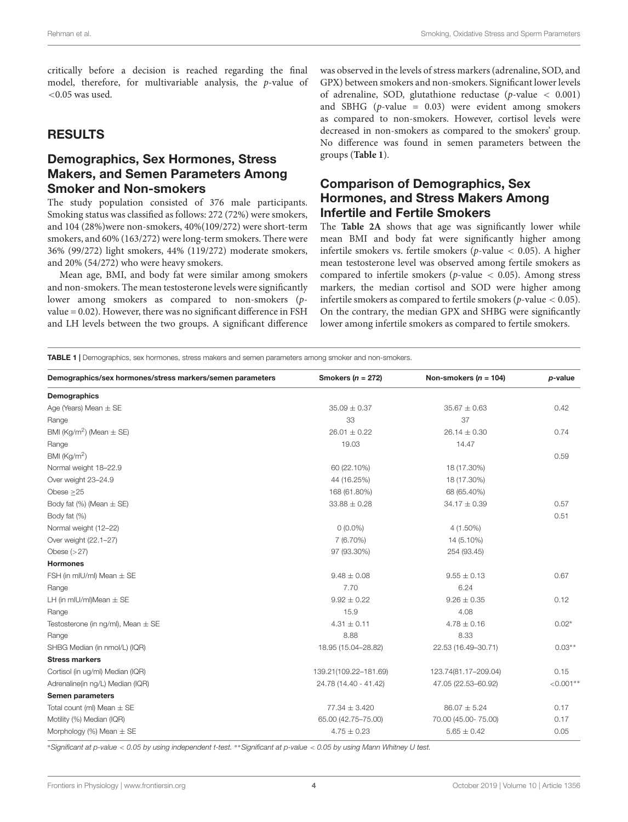critically before a decision is reached regarding the final model, therefore, for multivariable analysis, the p-value of <0.05 was used.

### RESULTS

## Demographics, Sex Hormones, Stress Makers, and Semen Parameters Among Smoker and Non-smokers

The study population consisted of 376 male participants. Smoking status was classified as follows: 272 (72%) were smokers, and 104 (28%)were non-smokers, 40%(109/272) were short-term smokers, and 60% (163/272) were long-term smokers. There were 36% (99/272) light smokers, 44% (119/272) moderate smokers, and 20% (54/272) who were heavy smokers.

Mean age, BMI, and body fat were similar among smokers and non-smokers. The mean testosterone levels were significantly lower among smokers as compared to non-smokers (pvalue = 0.02). However, there was no significant difference in FSH and LH levels between the two groups. A significant difference was observed in the levels of stress markers (adrenaline, SOD, and GPX) between smokers and non-smokers. Significant lower levels of adrenaline, SOD, glutathione reductase (p-value < 0.001) and SBHG ( $p$ -value = 0.03) were evident among smokers as compared to non-smokers. However, cortisol levels were decreased in non-smokers as compared to the smokers' group. No difference was found in semen parameters between the groups (**[Table 1](#page-4-0)**).

## Comparison of Demographics, Sex Hormones, and Stress Makers Among Infertile and Fertile Smokers

The **[Table 2A](#page-5-0)** shows that age was significantly lower while mean BMI and body fat were significantly higher among infertile smokers vs. fertile smokers ( $p$ -value < 0.05). A higher mean testosterone level was observed among fertile smokers as compared to infertile smokers ( $p$ -value < 0.05). Among stress markers, the median cortisol and SOD were higher among infertile smokers as compared to fertile smokers ( $p$ -value < 0.05). On the contrary, the median GPX and SHBG were significantly lower among infertile smokers as compared to fertile smokers.

<span id="page-4-0"></span>TABLE 1 | Demographics, sex hormones, stress makers and semen parameters among smoker and non-smokers.

| Smokers ( $n = 272$ ) | Non-smokers ( $n = 104$ ) | p-value     |
|-----------------------|---------------------------|-------------|
|                       |                           |             |
| $35.09 \pm 0.37$      | $35.67 \pm 0.63$          | 0.42        |
| 33                    | 37                        |             |
| $26.01 \pm 0.22$      | $26.14 \pm 0.30$          | 0.74        |
| 19.03                 | 14.47                     |             |
|                       |                           | 0.59        |
| 60 (22.10%)           | 18 (17.30%)               |             |
| 44 (16.25%)           | 18 (17.30%)               |             |
| 168 (61.80%)          | 68 (65.40%)               |             |
| $33.88 \pm 0.28$      | $34.17 \pm 0.39$          | 0.57        |
|                       |                           | 0.51        |
| $0(0.0\%)$            | 4 (1.50%)                 |             |
| 7 (6.70%)             | 14 (5.10%)                |             |
| 97 (93.30%)           | 254 (93.45)               |             |
|                       |                           |             |
| $9.48 \pm 0.08$       | $9.55 \pm 0.13$           | 0.67        |
| 7.70                  | 6.24                      |             |
| $9.92 \pm 0.22$       | $9.26 \pm 0.35$           | 0.12        |
| 15.9                  | 4.08                      |             |
| $4.31 \pm 0.11$       | $4.78 \pm 0.16$           | $0.02*$     |
| 8.88                  | 8.33                      |             |
| 18.95 (15.04-28.82)   | 22.53 (16.49-30.71)       | $0.03**$    |
|                       |                           |             |
| 139.21(109.22-181.69) | 123.74(81.17-209.04)      | 0.15        |
| 24.78 (14.40 - 41.42) | 47.05 (22.53-60.92)       | $< 0.001**$ |
|                       |                           |             |
| $77.34 \pm 3.420$     | $86.07 \pm 5.24$          | 0.17        |
| 65.00 (42.75-75.00)   | 70.00 (45.00-75.00)       | 0.17        |
| $4.75 \pm 0.23$       | $5.65 \pm 0.42$           | 0.05        |
|                       |                           |             |

<sup>∗</sup>Significant at p-value < 0.05 by using independent t-test. ∗∗Significant at p-value < 0.05 by using Mann Whitney U test.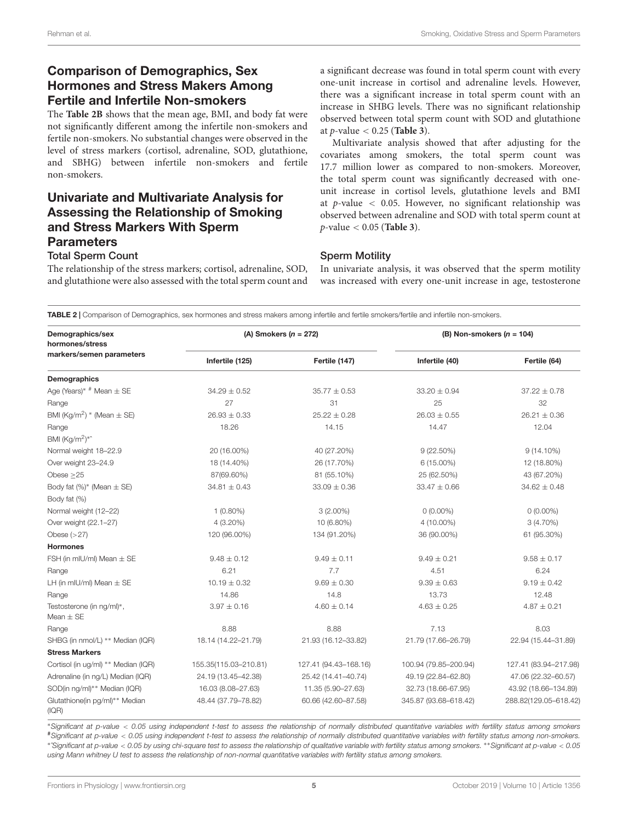## Comparison of Demographics, Sex Hormones and Stress Makers Among Fertile and Infertile Non-smokers

The **[Table 2B](#page-5-0)** shows that the mean age, BMI, and body fat were not significantly different among the infertile non-smokers and fertile non-smokers. No substantial changes were observed in the level of stress markers (cortisol, adrenaline, SOD, glutathione, and SBHG) between infertile non-smokers and fertile non-smokers.

## Univariate and Multivariate Analysis for Assessing the Relationship of Smoking and Stress Markers With Sperm **Parameters** Total Sperm Count

#### a significant decrease was found in total sperm count with every one-unit increase in cortisol and adrenaline levels. However, there was a significant increase in total sperm count with an increase in SHBG levels. There was no significant relationship observed between total sperm count with SOD and glutathione at p-value < 0.25 (**[Table 3](#page-6-0)**).

Multivariate analysis showed that after adjusting for the covariates among smokers, the total sperm count was 17.7 million lower as compared to non-smokers. Moreover, the total sperm count was significantly decreased with oneunit increase in cortisol levels, glutathione levels and BMI at  $p$ -value < 0.05. However, no significant relationship was observed between adrenaline and SOD with total sperm count at p-value < 0.05 (**[Table 3](#page-6-0)**).

#### Sperm Motility

The relationship of the stress markers; cortisol, adrenaline, SOD, and glutathione were also assessed with the total sperm count and In univariate analysis, it was observed that the sperm motility was increased with every one-unit increase in age, testosterone

<span id="page-5-0"></span>TABLE 2 | Comparison of Demographics, sex hormones and stress makers among infertile and fertile smokers/fertile and infertile non-smokers.

| Demographics/sex<br>hormones/stress<br>markers/semen parameters | (A) Smokers ( $n = 272$ ) |                       | (B) Non-smokers $(n = 104)$ |                       |
|-----------------------------------------------------------------|---------------------------|-----------------------|-----------------------------|-----------------------|
|                                                                 | Infertile (125)           | Fertile (147)         | Infertile (40)              | Fertile (64)          |
| Demographics                                                    |                           |                       |                             |                       |
| Age (Years)* $#$ Mean $\pm$ SE                                  | $34.29 \pm 0.52$          | $35.77 \pm 0.53$      | $33.20 \pm 0.94$            | $37.22 \pm 0.78$      |
| Range                                                           | 27                        | 31                    | 25                          | 32                    |
| BMI (Kg/m <sup>2</sup> ) * (Mean $\pm$ SE)                      | $26.93 \pm 0.33$          | $25.22 \pm 0.28$      | $26.03 \pm 0.55$            | $26.21 \pm 0.36$      |
| Range                                                           | 18.26                     | 14.15                 | 14.47                       | 12.04                 |
| BMI (Kg/m <sup>2</sup> ) <sup>*</sup>                           |                           |                       |                             |                       |
| Normal weight 18-22.9                                           | 20 (16.00%)               | 40 (27.20%)           | $9(22.50\%)$                | $9(14.10\%)$          |
| Over weight 23-24.9                                             | 18 (14.40%)               | 26 (17.70%)           | 6 (15.00%)                  | 12 (18.80%)           |
| Obese $>25$                                                     | 87(69.60%)                | 81 (55.10%)           | 25 (62.50%)                 | 43 (67.20%)           |
| Body fat $(\%)^*$ (Mean $\pm$ SE)                               | $34.81 \pm 0.43$          | $33.09 \pm 0.36$      | $33.47 \pm 0.66$            | $34.62 \pm 0.48$      |
| Body fat (%)                                                    |                           |                       |                             |                       |
| Normal weight (12-22)                                           | $1(0.80\%)$               | $3(2.00\%)$           | $0(0.00\%)$                 | $0(0.00\%)$           |
| Over weight (22.1-27)                                           | 4 (3.20%)                 | 10 (6.80%)            | 4 (10.00%)                  | $3(4.70\%)$           |
| Obese $(>27)$                                                   | 120 (96.00%)              | 134 (91.20%)          | 36 (90.00%)                 | 61 (95.30%)           |
| <b>Hormones</b>                                                 |                           |                       |                             |                       |
| FSH (in mIU/ml) Mean $\pm$ SE                                   | $9.48 \pm 0.12$           | $9.49 \pm 0.11$       | $9.49 \pm 0.21$             | $9.58 \pm 0.17$       |
| Range                                                           | 6.21                      | 7.7                   | 4.51                        | 6.24                  |
| LH (in mIU/mI) Mean $\pm$ SE                                    | $10.19 \pm 0.32$          | $9.69 \pm 0.30$       | $9.39 \pm 0.63$             | $9.19 \pm 0.42$       |
| Range                                                           | 14.86                     | 14.8                  | 13.73                       | 12.48                 |
| Testosterone (in ng/ml)*,<br>Mean $\pm$ SE                      | $3.97 \pm 0.16$           | $4.60 \pm 0.14$       | $4.63 \pm 0.25$             | $4.87 \pm 0.21$       |
| Range                                                           | 8.88                      | 8.88                  | 7.13                        | 8.03                  |
| SHBG (in nmol/L) ** Median (IQR)                                | 18.14 (14.22-21.79)       | 21.93 (16.12-33.82)   | 21.79 (17.66-26.79)         | 22.94 (15.44-31.89)   |
| <b>Stress Markers</b>                                           |                           |                       |                             |                       |
| Cortisol (in ug/ml) ** Median (IQR)                             | 155.35(115.03-210.81)     | 127.41 (94.43-168.16) | 100.94 (79.85-200.94)       | 127.41 (83.94-217.98) |
| Adrenaline (in ng/L) Median (IQR)                               | 24.19 (13.45-42.38)       | 25.42 (14.41-40.74)   | 49.19 (22.84-62.80)         | 47.06 (22.32-60.57)   |
| SOD(in ng/ml)** Median (IQR)                                    | 16.03 (8.08-27.63)        | 11.35 (5.90-27.63)    | 32.73 (18.66-67.95)         | 43.92 (18.66-134.89)  |
| Glutathione(in pg/ml)** Median<br>(IQR)                         | 48.44 (37.79-78.82)       | 60.66 (42.60-87.58)   | 345.87 (93.68-618.42)       | 288.82(129.05-618.42) |

<sup>∗</sup>Significant at p-value < 0.05 using independent t-test to assess the relationship of normally distributed quantitative variables with fertility status among smokers #Significant at p-value < 0.05 using independent t-test to assess the relationship of normally distributed quantitative variables with fertility status among non-smokers. ∗ ˆSignificant at p-value < 0.05 by using chi-square test to assess the relationship of qualitative variable with fertility status among smokers. ∗∗Significant at p-value < 0.05 using Mann whitney U test to assess the relationship of non-normal quantitative variables with fertility status among smokers.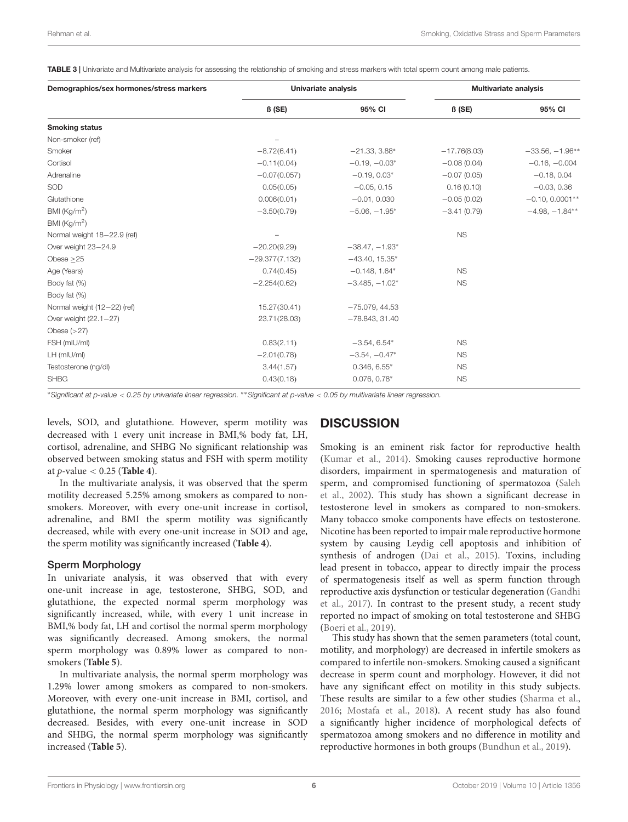<span id="page-6-0"></span>TABLE 3 | Univariate and Multivariate analysis for assessing the relationship of smoking and stress markers with total sperm count among male patients.

| Demographics/sex hormones/stress markers | Univariate analysis |                  | <b>Multivariate analysis</b> |                   |
|------------------------------------------|---------------------|------------------|------------------------------|-------------------|
|                                          | ß (SE)              | 95% CI           | $\beta$ (SE)                 | 95% CI            |
| <b>Smoking status</b>                    |                     |                  |                              |                   |
| Non-smoker (ref)                         |                     |                  |                              |                   |
| Smoker                                   | $-8.72(6.41)$       | $-21.33, 3.88*$  | $-17.76(8.03)$               | $-33.56, -1.96**$ |
| Cortisol                                 | $-0.11(0.04)$       | $-0.19, -0.03*$  | $-0.08(0.04)$                | $-0.16, -0.004$   |
| Adrenaline                               | $-0.07(0.057)$      | $-0.19, 0.03*$   | $-0.07(0.05)$                | $-0.18, 0.04$     |
| SOD                                      | 0.05(0.05)          | $-0.05, 0.15$    | 0.16(0.10)                   | $-0.03, 0.36$     |
| Glutathione                              | 0.006(0.01)         | $-0.01, 0.030$   | $-0.05(0.02)$                | $-0.10, 0.0001**$ |
| BMI ( $\text{Kg/m}^2$ )                  | $-3.50(0.79)$       | $-5.06, -1.95*$  | $-3.41(0.79)$                | $-4.98, -1.84**$  |
| BMI $(Kq/m2)$                            |                     |                  |                              |                   |
| Normal weight 18-22.9 (ref)              |                     |                  | <b>NS</b>                    |                   |
| Over weight 23-24.9                      | $-20.20(9.29)$      | $-38.47, -1.93*$ |                              |                   |
| Obese $\geq$ 25                          | $-29.377(7.132)$    | $-43.40, 15.35*$ |                              |                   |
| Age (Years)                              | 0.74(0.45)          | $-0.148, 1.64*$  | <b>NS</b>                    |                   |
| Body fat (%)                             | $-2.254(0.62)$      | $-3.485, -1.02*$ | <b>NS</b>                    |                   |
| Body fat (%)                             |                     |                  |                              |                   |
| Normal weight (12-22) (ref)              | 15.27(30.41)        | $-75.079, 44.53$ |                              |                   |
| Over weight (22.1-27)                    | 23.71(28.03)        | $-78.843, 31.40$ |                              |                   |
| Obese $(>27)$                            |                     |                  |                              |                   |
| FSH (mIU/ml)                             | 0.83(2.11)          | $-3.54, 6.54*$   | <b>NS</b>                    |                   |
| LH (mIU/ml)                              | $-2.01(0.78)$       | $-3.54, -0.47*$  | <b>NS</b>                    |                   |
| Testosterone (ng/dl)                     | 3.44(1.57)          | $0.346, 6.55*$   | <b>NS</b>                    |                   |
| <b>SHBG</b>                              | 0.43(0.18)          | $0.076, 0.78*$   | <b>NS</b>                    |                   |

<sup>∗</sup>Significant at p-value < 0.25 by univariate linear regression. ∗∗Significant at p-value < 0.05 by multivariate linear regression.

levels, SOD, and glutathione. However, sperm motility was decreased with 1 every unit increase in BMI,% body fat, LH, cortisol, adrenaline, and SHBG No significant relationship was observed between smoking status and FSH with sperm motility at p-value < 0.25 (**[Table 4](#page-7-0)**).

In the multivariate analysis, it was observed that the sperm motility decreased 5.25% among smokers as compared to nonsmokers. Moreover, with every one-unit increase in cortisol, adrenaline, and BMI the sperm motility was significantly decreased, while with every one-unit increase in SOD and age, the sperm motility was significantly increased (**[Table 4](#page-7-0)**).

#### Sperm Morphology

In univariate analysis, it was observed that with every one-unit increase in age, testosterone, SHBG, SOD, and glutathione, the expected normal sperm morphology was significantly increased, while, with every 1 unit increase in BMI,% body fat, LH and cortisol the normal sperm morphology was significantly decreased. Among smokers, the normal sperm morphology was 0.89% lower as compared to nonsmokers (**[Table 5](#page-8-0)**).

In multivariate analysis, the normal sperm morphology was 1.29% lower among smokers as compared to non-smokers. Moreover, with every one-unit increase in BMI, cortisol, and glutathione, the normal sperm morphology was significantly decreased. Besides, with every one-unit increase in SOD and SHBG, the normal sperm morphology was significantly increased (**[Table 5](#page-8-0)**).

## **DISCUSSION**

Smoking is an eminent risk factor for reproductive health [\(Kumar et al.,](#page-9-10) [2014\)](#page-9-10). Smoking causes reproductive hormone disorders, impairment in spermatogenesis and maturation of sperm, and compromised functioning of spermatozoa [\(Saleh](#page-10-5) [et al.,](#page-10-5) [2002\)](#page-10-5). This study has shown a significant decrease in testosterone level in smokers as compared to non-smokers. Many tobacco smoke components have effects on testosterone. Nicotine has been reported to impair male reproductive hormone system by causing Leydig cell apoptosis and inhibition of synthesis of androgen [\(Dai et al.,](#page-9-2) [2015\)](#page-9-2). Toxins, including lead present in tobacco, appear to directly impair the process of spermatogenesis itself as well as sperm function through reproductive axis dysfunction or testicular degeneration [\(Gandhi](#page-9-11) [et al.,](#page-9-11) [2017\)](#page-9-11). In contrast to the present study, a recent study reported no impact of smoking on total testosterone and SHBG [\(Boeri et al.,](#page-9-12) [2019\)](#page-9-12).

This study has shown that the semen parameters (total count, motility, and morphology) are decreased in infertile smokers as compared to infertile non-smokers. Smoking caused a significant decrease in sperm count and morphology. However, it did not have any significant effect on motility in this study subjects. These results are similar to a few other studies [\(Sharma et al.,](#page-10-0) [2016;](#page-10-0) [Mostafa et al.,](#page-9-13) [2018\)](#page-9-13). A recent study has also found a significantly higher incidence of morphological defects of spermatozoa among smokers and no difference in motility and reproductive hormones in both groups [\(Bundhun et al.,](#page-9-14) [2019\)](#page-9-14).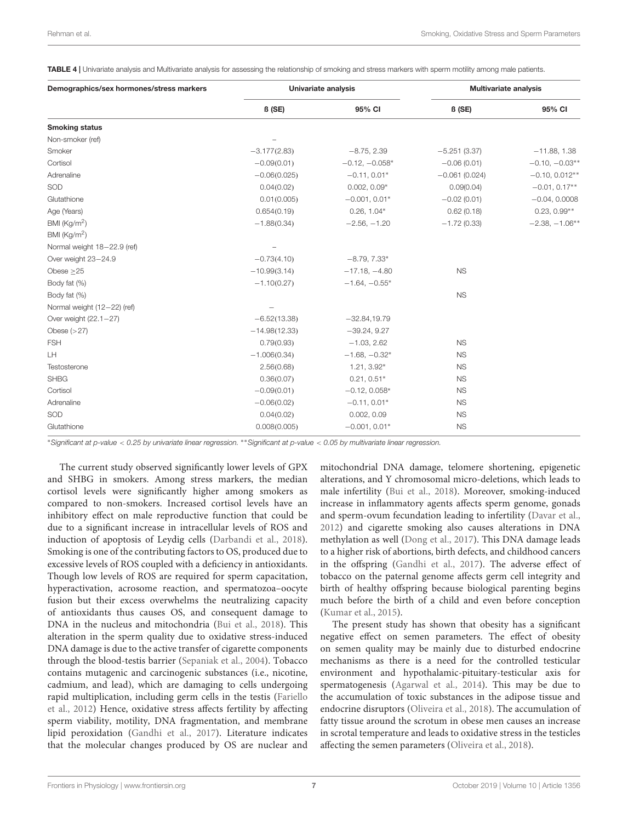<span id="page-7-0"></span>TABLE 4 | Univariate analysis and Multivariate analysis for assessing the relationship of smoking and stress markers with sperm motility among male patients.

| Demographics/sex hormones/stress markers | Univariate analysis |                  | <b>Multivariate analysis</b> |                  |
|------------------------------------------|---------------------|------------------|------------------------------|------------------|
|                                          | B(SE)               | 95% CI           | $\beta$ (SE)                 | 95% CI           |
| <b>Smoking status</b>                    |                     |                  |                              |                  |
| Non-smoker (ref)                         |                     |                  |                              |                  |
| Smoker                                   | $-3.177(2.83)$      | $-8.75, 2.39$    | $-5.251(3.37)$               | $-11.88, 1.38$   |
| Cortisol                                 | $-0.09(0.01)$       | $-0.12, -0.058*$ | $-0.06(0.01)$                | $-0.10, -0.03**$ |
| Adrenaline                               | $-0.06(0.025)$      | $-0.11, 0.01*$   | $-0.061(0.024)$              | $-0.10, 0.012**$ |
| SOD                                      | 0.04(0.02)          | $0.002, 0.09*$   | 0.09(0.04)                   | $-0.01, 0.17**$  |
| Glutathione                              | 0.01(0.005)         | $-0.001, 0.01*$  | $-0.02(0.01)$                | $-0.04, 0.0008$  |
| Age (Years)                              | 0.654(0.19)         | $0.26, 1.04*$    | 0.62(0.18)                   | $0.23, 0.99**$   |
| BMI ( $\text{Kg/m}^2$ )                  | $-1.88(0.34)$       | $-2.56, -1.20$   | $-1.72(0.33)$                | $-2.38, -1.06**$ |
| BMI $(Kg/m2)$                            |                     |                  |                              |                  |
| Normal weight 18-22.9 (ref)              |                     |                  |                              |                  |
| Over weight 23-24.9                      | $-0.73(4.10)$       | $-8.79, 7.33*$   |                              |                  |
| Obese $\geq$ 25                          | $-10.99(3.14)$      | $-17.18, -4.80$  | <b>NS</b>                    |                  |
| Body fat (%)                             | $-1.10(0.27)$       | $-1.64, -0.55*$  |                              |                  |
| Body fat (%)                             |                     |                  | <b>NS</b>                    |                  |
| Normal weight (12-22) (ref)              |                     |                  |                              |                  |
| Over weight (22.1-27)                    | $-6.52(13.38)$      | $-32.84, 19.79$  |                              |                  |
| Obese $(>27)$                            | $-14.98(12.33)$     | $-39.24, 9.27$   |                              |                  |
| <b>FSH</b>                               | 0.79(0.93)          | $-1.03, 2.62$    | <b>NS</b>                    |                  |
| LH.                                      | $-1.006(0.34)$      | $-1.68, -0.32*$  | <b>NS</b>                    |                  |
| Testosterone                             | 2.56(0.68)          | 1.21, 3.92*      | <b>NS</b>                    |                  |
| <b>SHBG</b>                              | 0.36(0.07)          | $0.21, 0.51*$    | <b>NS</b>                    |                  |
| Cortisol                                 | $-0.09(0.01)$       | $-0.12, 0.058*$  | <b>NS</b>                    |                  |
| Adrenaline                               | $-0.06(0.02)$       | $-0.11, 0.01*$   | <b>NS</b>                    |                  |
| SOD                                      | 0.04(0.02)          | 0.002, 0.09      | <b>NS</b>                    |                  |
| Glutathione                              | 0.008(0.005)        | $-0.001, 0.01*$  | <b>NS</b>                    |                  |

<sup>∗</sup>Significant at p-value < 0.25 by univariate linear regression. ∗∗Significant at p-value < 0.05 by multivariate linear regression.

The current study observed significantly lower levels of GPX and SHBG in smokers. Among stress markers, the median cortisol levels were significantly higher among smokers as compared to non-smokers. Increased cortisol levels have an inhibitory effect on male reproductive function that could be due to a significant increase in intracellular levels of ROS and induction of apoptosis of Leydig cells [\(Darbandi et al.,](#page-9-15) [2018\)](#page-9-15). Smoking is one of the contributing factors to OS, produced due to excessive levels of ROS coupled with a deficiency in antioxidants. Though low levels of ROS are required for sperm capacitation, hyperactivation, acrosome reaction, and spermatozoa–oocyte fusion but their excess overwhelms the neutralizing capacity of antioxidants thus causes OS, and consequent damage to DNA in the nucleus and mitochondria [\(Bui et al.,](#page-9-16) [2018\)](#page-9-16). This alteration in the sperm quality due to oxidative stress-induced DNA damage is due to the active transfer of cigarette components through the blood-testis barrier [\(Sepaniak et al.,](#page-10-6) [2004\)](#page-10-6). Tobacco contains mutagenic and carcinogenic substances (i.e., nicotine, cadmium, and lead), which are damaging to cells undergoing rapid multiplication, including germ cells in the testis [\(Fariello](#page-9-17) [et al.,](#page-9-17) [2012\)](#page-9-17) Hence, oxidative stress affects fertility by affecting sperm viability, motility, DNA fragmentation, and membrane lipid peroxidation [\(Gandhi et al.,](#page-9-11) [2017\)](#page-9-11). Literature indicates that the molecular changes produced by OS are nuclear and

mitochondrial DNA damage, telomere shortening, epigenetic alterations, and Y chromosomal micro-deletions, which leads to male infertility [\(Bui et al.,](#page-9-16) [2018\)](#page-9-16). Moreover, smoking-induced increase in inflammatory agents affects sperm genome, gonads and sperm-ovum fecundation leading to infertility [\(Davar et al.,](#page-9-18) [2012\)](#page-9-18) and cigarette smoking also causes alterations in DNA methylation as well [\(Dong et al.,](#page-9-19) [2017\)](#page-9-19). This DNA damage leads to a higher risk of abortions, birth defects, and childhood cancers in the offspring [\(Gandhi et al.,](#page-9-11) [2017\)](#page-9-11). The adverse effect of tobacco on the paternal genome affects germ cell integrity and birth of healthy offspring because biological parenting begins much before the birth of a child and even before conception [\(Kumar et al.,](#page-9-20) [2015\)](#page-9-20).

The present study has shown that obesity has a significant negative effect on semen parameters. The effect of obesity on semen quality may be mainly due to disturbed endocrine mechanisms as there is a need for the controlled testicular environment and hypothalamic-pituitary-testicular axis for spermatogenesis [\(Agarwal et al.,](#page-9-21) [2014\)](#page-9-21). This may be due to the accumulation of toxic substances in the adipose tissue and endocrine disruptors [\(Oliveira et al.,](#page-10-7) [2018\)](#page-10-7). The accumulation of fatty tissue around the scrotum in obese men causes an increase in scrotal temperature and leads to oxidative stress in the testicles affecting the semen parameters [\(Oliveira et al.,](#page-10-7) [2018\)](#page-10-7).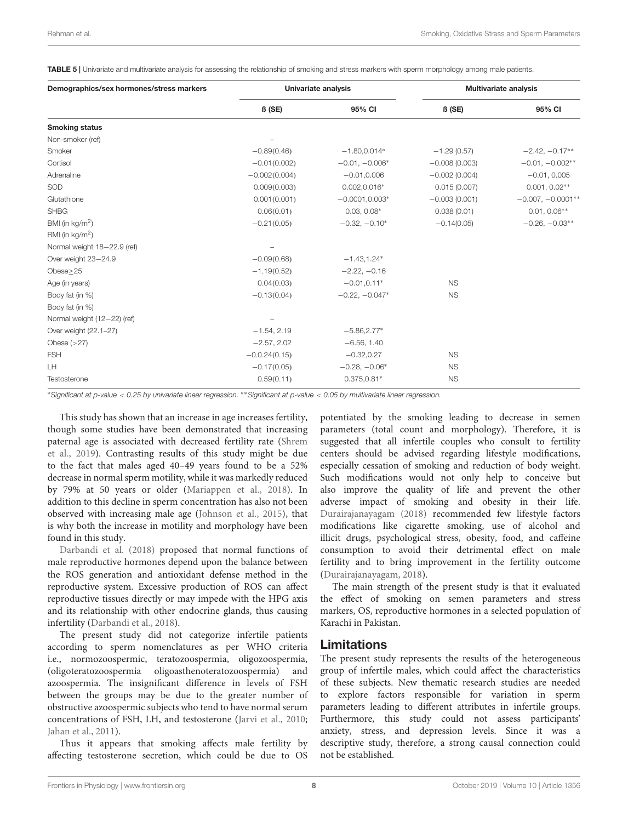<span id="page-8-0"></span>TABLE 5 | Univariate and multivariate analysis for assessing the relationship of smoking and stress markers with sperm morphology among male patients.

| Demographics/sex hormones/stress markers | Univariate analysis |                   | <b>Multivariate analysis</b> |                     |
|------------------------------------------|---------------------|-------------------|------------------------------|---------------------|
|                                          | $\beta$ (SE)        | 95% CI            | $\beta$ (SE)                 | 95% CI              |
| <b>Smoking status</b>                    |                     |                   |                              |                     |
| Non-smoker (ref)                         |                     |                   |                              |                     |
| Smoker                                   | $-0.89(0.46)$       | $-1.80, 0.014*$   | $-1.29(0.57)$                | $-2.42, -0.17**$    |
| Cortisol                                 | $-0.01(0.002)$      | $-0.01, -0.006*$  | $-0.008(0.003)$              | $-0.01, -0.002**$   |
| Adrenaline                               | $-0.002(0.004)$     | $-0.01, 0.006$    | $-0.002(0.004)$              | $-0.01, 0.005$      |
| SOD                                      | 0.009(0.003)        | $0.002, 0.016*$   | 0.015(0.007)                 | $0.001, 0.02**$     |
| Glutathione                              | 0.001(0.001)        | $-0.0001, 0.003*$ | $-0.003(0.001)$              | $-0.007, -0.0001**$ |
| <b>SHBG</b>                              | 0.06(0.01)          | $0.03, 0.08*$     | 0.038(0.01)                  | $0.01, 0.06**$      |
| BMI (in $kg/m2$ )                        | $-0.21(0.05)$       | $-0.32, -0.10*$   | $-0.14(0.05)$                | $-0.26, -0.03**$    |
| BMI (in $kg/m2$ )                        |                     |                   |                              |                     |
| Normal weight 18-22.9 (ref)              |                     |                   |                              |                     |
| Over weight 23-24.9                      | $-0.09(0.68)$       | $-1.43, 1.24*$    |                              |                     |
| Obese>25                                 | $-1.19(0.52)$       | $-2.22, -0.16$    |                              |                     |
| Age (in years)                           | 0.04(0.03)          | $-0.01, 0.11*$    | <b>NS</b>                    |                     |
| Body fat (in %)                          | $-0.13(0.04)$       | $-0.22, -0.047*$  | <b>NS</b>                    |                     |
| Body fat (in %)                          |                     |                   |                              |                     |
| Normal weight (12-22) (ref)              |                     |                   |                              |                     |
| Over weight (22.1-27)                    | $-1.54, 2.19$       | $-5.86, 2.77*$    |                              |                     |
| Obese $(>27)$                            | $-2.57, 2.02$       | $-6.56, 1.40$     |                              |                     |
| <b>FSH</b>                               | $-0.0.24(0.15)$     | $-0.32, 0.27$     | <b>NS</b>                    |                     |
| LH                                       | $-0.17(0.05)$       | $-0.28, -0.06*$   | <b>NS</b>                    |                     |
| Testosterone                             | 0.59(0.11)          | $0.375, 0.81*$    | <b>NS</b>                    |                     |

<sup>∗</sup>Significant at p-value < 0.25 by univariate linear regression. ∗∗Significant at p-value < 0.05 by multivariate linear regression.

This study has shown that an increase in age increases fertility, though some studies have been demonstrated that increasing paternal age is associated with decreased fertility rate [\(Shrem](#page-10-8) [et al.,](#page-10-8) [2019\)](#page-10-8). Contrasting results of this study might be due to the fact that males aged 40–49 years found to be a 52% decrease in normal sperm motility, while it was markedly reduced by 79% at 50 years or older [\(Mariappen et al.,](#page-9-22) [2018\)](#page-9-22). In addition to this decline in sperm concentration has also not been observed with increasing male age [\(Johnson et al.,](#page-9-23) [2015\)](#page-9-23), that is why both the increase in motility and morphology have been found in this study.

[Darbandi et al.](#page-9-15) [\(2018\)](#page-9-15) proposed that normal functions of male reproductive hormones depend upon the balance between the ROS generation and antioxidant defense method in the reproductive system. Excessive production of ROS can affect reproductive tissues directly or may impede with the HPG axis and its relationship with other endocrine glands, thus causing infertility [\(Darbandi et al.,](#page-9-15) [2018\)](#page-9-15).

The present study did not categorize infertile patients according to sperm nomenclatures as per WHO criteria i.e., normozoospermic, teratozoospermia, oligozoospermia, (oligoteratozoospermia oligoasthenoteratozoospermia) and azoospermia. The insignificant difference in levels of FSH between the groups may be due to the greater number of obstructive azoospermic subjects who tend to have normal serum concentrations of FSH, LH, and testosterone [\(Jarvi et al.,](#page-9-24) [2010;](#page-9-24) [Jahan et al.,](#page-9-25) [2011\)](#page-9-25).

Thus it appears that smoking affects male fertility by affecting testosterone secretion, which could be due to OS potentiated by the smoking leading to decrease in semen parameters (total count and morphology). Therefore, it is suggested that all infertile couples who consult to fertility centers should be advised regarding lifestyle modifications, especially cessation of smoking and reduction of body weight. Such modifications would not only help to conceive but also improve the quality of life and prevent the other adverse impact of smoking and obesity in their life. [Durairajanayagam](#page-9-26) [\(2018\)](#page-9-26) recommended few lifestyle factors modifications like cigarette smoking, use of alcohol and illicit drugs, psychological stress, obesity, food, and caffeine consumption to avoid their detrimental effect on male fertility and to bring improvement in the fertility outcome [\(Durairajanayagam,](#page-9-26) [2018\)](#page-9-26).

The main strength of the present study is that it evaluated the effect of smoking on semen parameters and stress markers, OS, reproductive hormones in a selected population of Karachi in Pakistan.

#### Limitations

The present study represents the results of the heterogeneous group of infertile males, which could affect the characteristics of these subjects. New thematic research studies are needed to explore factors responsible for variation in sperm parameters leading to different attributes in infertile groups. Furthermore, this study could not assess participants' anxiety, stress, and depression levels. Since it was a descriptive study, therefore, a strong causal connection could not be established.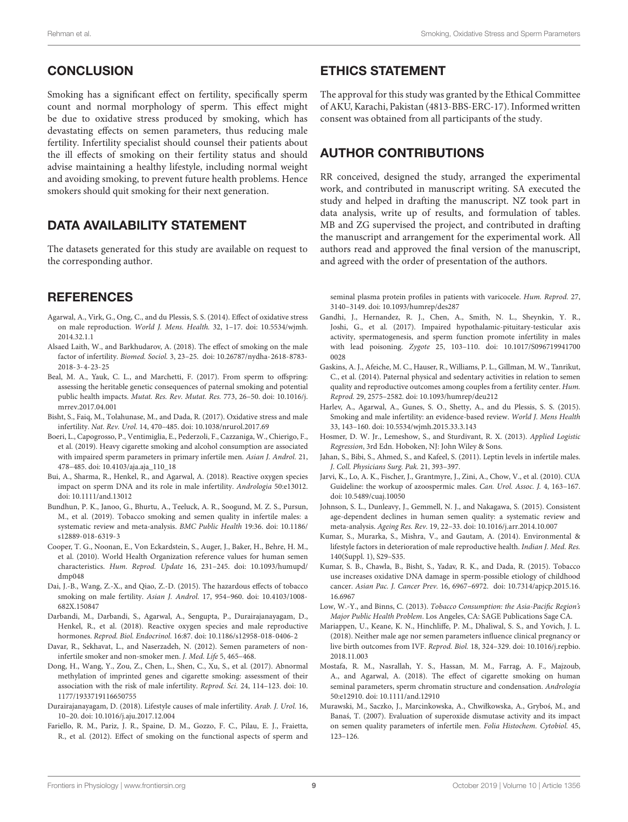## **CONCLUSION**

Smoking has a significant effect on fertility, specifically sperm count and normal morphology of sperm. This effect might be due to oxidative stress produced by smoking, which has devastating effects on semen parameters, thus reducing male fertility. Infertility specialist should counsel their patients about the ill effects of smoking on their fertility status and should advise maintaining a healthy lifestyle, including normal weight and avoiding smoking, to prevent future health problems. Hence smokers should quit smoking for their next generation.

## DATA AVAILABILITY STATEMENT

The datasets generated for this study are available on request to the corresponding author.

## **REFERENCES**

- <span id="page-9-21"></span>Agarwal, A., Virk, G., Ong, C., and du Plessis, S. S. (2014). Effect of oxidative stress on male reproduction. World J. Mens. Health. 32, 1–17. [doi: 10.5534/wjmh.](https://doi.org/10.5534/wjmh.2014.32.1.1) [2014.32.1.1](https://doi.org/10.5534/wjmh.2014.32.1.1)
- <span id="page-9-4"></span>Alsaed Laith, W., and Barkhudarov, A. (2018). The effect of smoking on the male factor of infertility. Biomed. Sociol. 3, 23–25. [doi: 10.26787/nydha-2618-8783-](https://doi.org/10.26787/nydha-2618-8783-2018-3-4-23-25) [2018-3-4-23-25](https://doi.org/10.26787/nydha-2618-8783-2018-3-4-23-25)
- <span id="page-9-3"></span>Beal, M. A., Yauk, C. L., and Marchetti, F. (2017). From sperm to offspring: assessing the heritable genetic consequences of paternal smoking and potential public health impacts. Mutat. Res. Rev. Mutat. Res. 773, 26–50. [doi: 10.1016/j.](https://doi.org/10.1016/j.mrrev.2017.04.001) [mrrev.2017.04.001](https://doi.org/10.1016/j.mrrev.2017.04.001)
- <span id="page-9-6"></span>Bisht, S., Faiq, M., Tolahunase, M., and Dada, R. (2017). Oxidative stress and male infertility. Nat. Rev. Urol. 14, 470–485. [doi: 10.1038/nrurol.2017.69](https://doi.org/10.1038/nrurol.2017.69)
- <span id="page-9-12"></span>Boeri, L., Capogrosso, P., Ventimiglia, E., Pederzoli, F., Cazzaniga, W., Chierigo, F., et al. (2019). Heavy cigarette smoking and alcohol consumption are associated with impaired sperm parameters in primary infertile men. Asian J. Androl. 21, 478–485. [doi: 10.4103/aja.aja\\_110\\_18](https://doi.org/10.4103/aja.aja_110_18)
- <span id="page-9-16"></span>Bui, A., Sharma, R., Henkel, R., and Agarwal, A. (2018). Reactive oxygen species impact on sperm DNA and its role in male infertility. Andrologia 50:e13012. [doi: 10.1111/and.13012](https://doi.org/10.1111/and.13012)
- <span id="page-9-14"></span>Bundhun, P. K., Janoo, G., Bhurtu, A., Teeluck, A. R., Soogund, M. Z. S., Pursun, M., et al. (2019). Tobacco smoking and semen quality in infertile males: a systematic review and meta-analysis. BMC Public Health 19:36. [doi: 10.1186/](https://doi.org/10.1186/s12889-018-6319-3) [s12889-018-6319-3](https://doi.org/10.1186/s12889-018-6319-3)
- <span id="page-9-8"></span>Cooper, T. G., Noonan, E., Von Eckardstein, S., Auger, J., Baker, H., Behre, H. M., et al. (2010). World Health Organization reference values for human semen characteristics. Hum. Reprod. Update 16, 231–245. [doi: 10.1093/humupd/](https://doi.org/10.1093/humupd/dmp048) [dmp048](https://doi.org/10.1093/humupd/dmp048)
- <span id="page-9-2"></span>Dai, J.-B., Wang, Z.-X., and Qiao, Z.-D. (2015). The hazardous effects of tobacco smoking on male fertility. Asian J. Androl. 17, 954–960. [doi: 10.4103/1008-](https://doi.org/10.4103/1008-682X.150847) [682X.150847](https://doi.org/10.4103/1008-682X.150847)
- <span id="page-9-15"></span>Darbandi, M., Darbandi, S., Agarwal, A., Sengupta, P., Durairajanayagam, D., Henkel, R., et al. (2018). Reactive oxygen species and male reproductive hormones. Reprod. Biol. Endocrinol. 16:87. [doi: 10.1186/s12958-018-0406-2](https://doi.org/10.1186/s12958-018-0406-2)
- <span id="page-9-18"></span>Davar, R., Sekhavat, L., and Naserzadeh, N. (2012). Semen parameters of noninfertile smoker and non-smoker men. J. Med. Life 5, 465–468.
- <span id="page-9-19"></span>Dong, H., Wang, Y., Zou, Z., Chen, L., Shen, C., Xu, S., et al. (2017). Abnormal methylation of imprinted genes and cigarette smoking: assessment of their association with the risk of male infertility. Reprod. Sci. 24, 114–123. [doi: 10.](https://doi.org/10.1177/1933719116650755) [1177/1933719116650755](https://doi.org/10.1177/1933719116650755)
- <span id="page-9-26"></span>Durairajanayagam, D. (2018). Lifestyle causes of male infertility. Arab. J. Urol. 16, 10–20. [doi: 10.1016/j.aju.2017.12.004](https://doi.org/10.1016/j.aju.2017.12.004)
- <span id="page-9-17"></span>Fariello, R. M., Pariz, J. R., Spaine, D. M., Gozzo, F. C., Pilau, E. J., Fraietta, R., et al. (2012). Effect of smoking on the functional aspects of sperm and

## ETHICS STATEMENT

The approval for this study was granted by the Ethical Committee of AKU, Karachi, Pakistan (4813-BBS-ERC-17). Informed written consent was obtained from all participants of the study.

## AUTHOR CONTRIBUTIONS

RR conceived, designed the study, arranged the experimental work, and contributed in manuscript writing. SA executed the study and helped in drafting the manuscript. NZ took part in data analysis, write up of results, and formulation of tables. MB and ZG supervised the project, and contributed in drafting the manuscript and arrangement for the experimental work. All authors read and approved the final version of the manuscript, and agreed with the order of presentation of the authors.

seminal plasma protein profiles in patients with varicocele. Hum. Reprod. 27, 3140–3149. [doi: 10.1093/humrep/des287](https://doi.org/10.1093/humrep/des287)

- <span id="page-9-11"></span>Gandhi, J., Hernandez, R. J., Chen, A., Smith, N. L., Sheynkin, Y. R., Joshi, G., et al. (2017). Impaired hypothalamic-pituitary-testicular axis activity, spermatogenesis, and sperm function promote infertility in males with lead poisoning. Zygote 25, 103–110. [doi: 10.1017/S096719941700](https://doi.org/10.1017/S0967199417000028) [0028](https://doi.org/10.1017/S0967199417000028)
- <span id="page-9-0"></span>Gaskins, A. J., Afeiche, M. C., Hauser, R., Williams, P. L., Gillman, M. W., Tanrikut, C., et al. (2014). Paternal physical and sedentary activities in relation to semen quality and reproductive outcomes among couples from a fertility center. Hum. Reprod. 29, 2575–2582. [doi: 10.1093/humrep/deu212](https://doi.org/10.1093/humrep/deu212)
- <span id="page-9-5"></span>Harlev, A., Agarwal, A., Gunes, S. O., Shetty, A., and du Plessis, S. S. (2015). Smoking and male infertility: an evidence-based review. World J. Mens Health 33, 143–160. [doi: 10.5534/wjmh.2015.33.3.143](https://doi.org/10.5534/wjmh.2015.33.3.143)
- <span id="page-9-9"></span>Hosmer, D. W. Jr., Lemeshow, S., and Sturdivant, R. X. (2013). Applied Logistic Regression, 3rd Edn. Hoboken, NJ: John Wiley & Sons.
- <span id="page-9-25"></span>Jahan, S., Bibi, S., Ahmed, S., and Kafeel, S. (2011). Leptin levels in infertile males. J. Coll. Physicians Surg. Pak. 21, 393–397.
- <span id="page-9-24"></span>Jarvi, K., Lo, A. K., Fischer, J., Grantmyre, J., Zini, A., Chow, V., et al. (2010). CUA Guideline: the workup of azoospermic males. Can. Urol. Assoc. J. 4, 163–167. [doi: 10.5489/cuaj.10050](https://doi.org/10.5489/cuaj.10050)
- <span id="page-9-23"></span>Johnson, S. L., Dunleavy, J., Gemmell, N. J., and Nakagawa, S. (2015). Consistent age-dependent declines in human semen quality: a systematic review and meta-analysis. Ageing Res. Rev. 19, 22–33. [doi: 10.1016/j.arr.2014.10.007](https://doi.org/10.1016/j.arr.2014.10.007)
- <span id="page-9-10"></span>Kumar, S., Murarka, S., Mishra, V., and Gautam, A. (2014). Environmental & lifestyle factors in deterioration of male reproductive health. Indian J. Med. Res. 140(Suppl. 1), S29–S35.
- <span id="page-9-20"></span>Kumar, S. B., Chawla, B., Bisht, S., Yadav, R. K., and Dada, R. (2015). Tobacco use increases oxidative DNA damage in sperm-possible etiology of childhood cancer. Asian Pac. J. Cancer Prev. 16, 6967–6972. [doi: 10.7314/apjcp.2015.16.](https://doi.org/10.7314/apjcp.2015.16.16.6967) [16.6967](https://doi.org/10.7314/apjcp.2015.16.16.6967)
- <span id="page-9-1"></span>Low, W.-Y., and Binns, C. (2013). Tobacco Consumption: the Asia-Pacific Region's Major Public Health Problem. Los Angeles, CA: SAGE Publications Sage CA.
- <span id="page-9-22"></span>Mariappen, U., Keane, K. N., Hinchliffe, P. M., Dhaliwal, S. S., and Yovich, J. L. (2018). Neither male age nor semen parameters influence clinical pregnancy or live birth outcomes from IVF. Reprod. Biol. 18, 324–329. [doi: 10.1016/j.repbio.](https://doi.org/10.1016/j.repbio.2018.11.003) [2018.11.003](https://doi.org/10.1016/j.repbio.2018.11.003)
- <span id="page-9-13"></span>Mostafa, R. M., Nasrallah, Y. S., Hassan, M. M., Farrag, A. F., Majzoub, A., and Agarwal, A. (2018). The effect of cigarette smoking on human seminal parameters, sperm chromatin structure and condensation. Andrologia 50:e12910. [doi: 10.1111/and.12910](https://doi.org/10.1111/and.12910)
- <span id="page-9-7"></span>Murawski, M., Saczko, J., Marcinkowska, A., Chwiłkowska, A., Gryboś, M., and Banaś, T. (2007). Evaluation of superoxide dismutase activity and its impact on semen quality parameters of infertile men. Folia Histochem. Cytobiol. 45, 123–126.